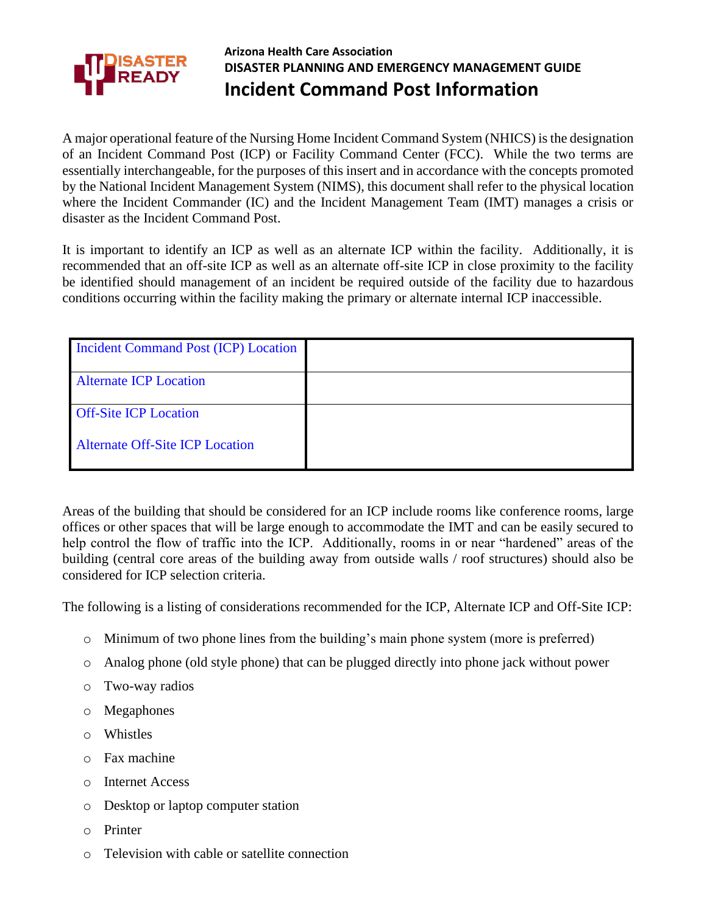

## **Arizona Health Care Association DISASTER PLANNING AND EMERGENCY MANAGEMENT GUIDE Incident Command Post Information**

A major operational feature of the Nursing Home Incident Command System (NHICS) is the designation of an Incident Command Post (ICP) or Facility Command Center (FCC). While the two terms are essentially interchangeable, for the purposes of this insert and in accordance with the concepts promoted by the National Incident Management System (NIMS), this document shall refer to the physical location where the Incident Commander (IC) and the Incident Management Team (IMT) manages a crisis or disaster as the Incident Command Post.

It is important to identify an ICP as well as an alternate ICP within the facility. Additionally, it is recommended that an off-site ICP as well as an alternate off-site ICP in close proximity to the facility be identified should management of an incident be required outside of the facility due to hazardous conditions occurring within the facility making the primary or alternate internal ICP inaccessible.

| Incident Command Post (ICP) Location   |  |
|----------------------------------------|--|
| <b>Alternate ICP Location</b>          |  |
| <b>Off-Site ICP Location</b>           |  |
| <b>Alternate Off-Site ICP Location</b> |  |

Areas of the building that should be considered for an ICP include rooms like conference rooms, large offices or other spaces that will be large enough to accommodate the IMT and can be easily secured to help control the flow of traffic into the ICP. Additionally, rooms in or near "hardened" areas of the building (central core areas of the building away from outside walls / roof structures) should also be considered for ICP selection criteria.

The following is a listing of considerations recommended for the ICP, Alternate ICP and Off-Site ICP:

- o Minimum of two phone lines from the building's main phone system (more is preferred)
- o Analog phone (old style phone) that can be plugged directly into phone jack without power
- o Two-way radios
- o Megaphones
- o Whistles
- o Fax machine
- o Internet Access
- o Desktop or laptop computer station
- o Printer
- o Television with cable or satellite connection